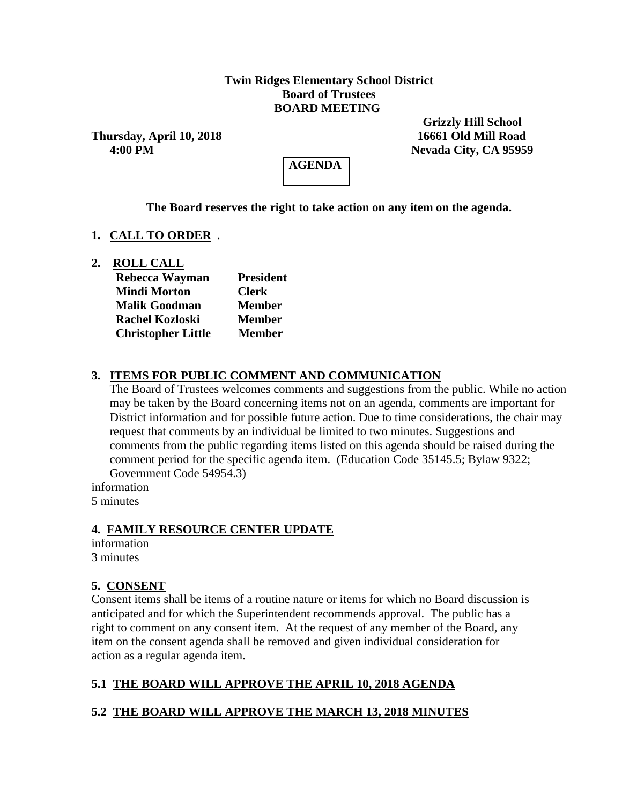#### **Twin Ridges Elementary School District Board of Trustees BOARD MEETING**

**Thursday, April 10, 2018 16661 Old Mill Road**

 **Grizzly Hill School 4:00 PM Nevada City, CA 95959**

**AGENDA**

**The Board reserves the right to take action on any item on the agenda.**

#### **1. CALL TO ORDER** *.*

**2. ROLL CALL**

| Rebecca Wayman            | <b>President</b> |  |  |  |
|---------------------------|------------------|--|--|--|
| <b>Mindi Morton</b>       | <b>Clerk</b>     |  |  |  |
| <b>Malik Goodman</b>      | <b>Member</b>    |  |  |  |
| <b>Rachel Kozloski</b>    | <b>Member</b>    |  |  |  |
| <b>Christopher Little</b> | <b>Member</b>    |  |  |  |

## **3. ITEMS FOR PUBLIC COMMENT AND COMMUNICATION**

The Board of Trustees welcomes comments and suggestions from the public. While no action may be taken by the Board concerning items not on an agenda, comments are important for District information and for possible future action. Due to time considerations, the chair may request that comments by an individual be limited to two minutes. Suggestions and comments from the public regarding items listed on this agenda should be raised during the comment period for the specific agenda item. (Education Code 35145.5; Bylaw 9322; Government Code 54954.3)

information 5 minutes

#### **4. FAMILY RESOURCE CENTER UPDATE**

information 3 minutes

## **5. CONSENT**

Consent items shall be items of a routine nature or items for which no Board discussion is anticipated and for which the Superintendent recommends approval. The public has a right to comment on any consent item. At the request of any member of the Board, any item on the consent agenda shall be removed and given individual consideration for action as a regular agenda item.

# **5.1 THE BOARD WILL APPROVE THE APRIL 10, 2018 AGENDA**

## **5.2 THE BOARD WILL APPROVE THE MARCH 13, 2018 MINUTES**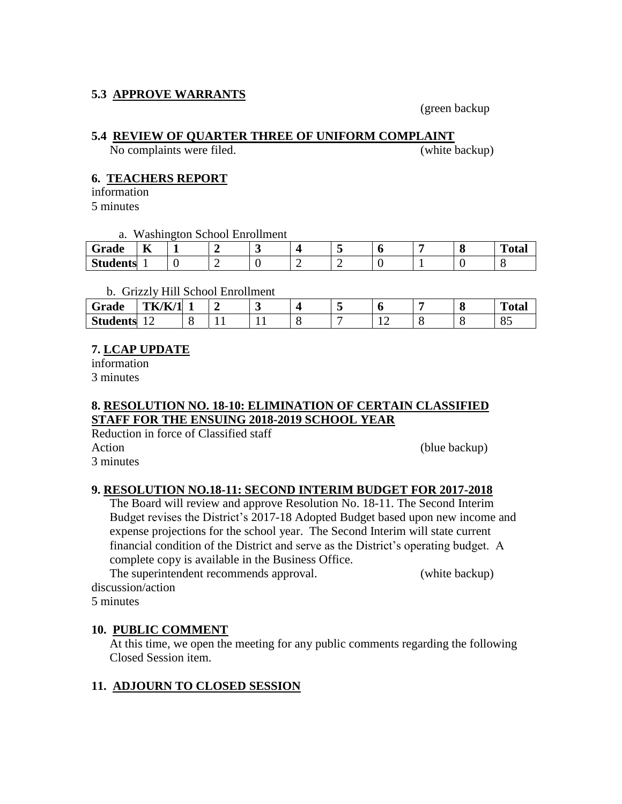## **5.3 APPROVE WARRANTS**

(green backup

## **5.4 REVIEW OF QUARTER THREE OF UNIFORM COMPLAINT**

No complaints were filed. (white backup)

# **6. TEACHERS REPORT**

information 5 minutes

a. Washington School Enrollment

| Grade           | $- -$<br>R |  |  |  |  | <b>TILE</b><br>'otar |
|-----------------|------------|--|--|--|--|----------------------|
| <b>Students</b> |            |  |  |  |  |                      |

#### b. Grizzly Hill School Enrollment

| Grade           | <b>TK/K/1</b>  |     | ັ |  |   |  | $\mathbf{r}$<br>''otal |
|-----------------|----------------|-----|---|--|---|--|------------------------|
| <b>Students</b> | $\overline{1}$ | . . |   |  | - |  | ື                      |

## **7. LCAP UPDATE**

information 3 minutes

## **8. RESOLUTION NO. 18-10: ELIMINATION OF CERTAIN CLASSIFIED STAFF FOR THE ENSUING 2018-2019 SCHOOL YEAR**

Reduction in force of Classified staff Action (blue backup)

# 3 minutes

## **9. RESOLUTION NO.18-11: SECOND INTERIM BUDGET FOR 2017-2018**

The Board will review and approve Resolution No. 18-11. The Second Interim Budget revises the District's 2017-18 Adopted Budget based upon new income and expense projections for the school year. The Second Interim will state current financial condition of the District and serve as the District's operating budget. A complete copy is available in the Business Office.

The superintendent recommends approval. (white backup) discussion/action

5 minutes

## **10. PUBLIC COMMENT**

At this time, we open the meeting for any public comments regarding the following Closed Session item.

# **11. ADJOURN TO CLOSED SESSION**